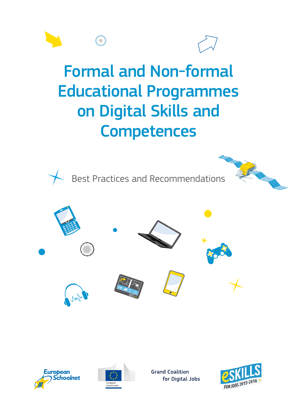

# Formal and Non-formal Educational Programmes on Digital Skills and **Competences**



Best Practices and Recommendations









**Grand Coalition** for Digital Jobs

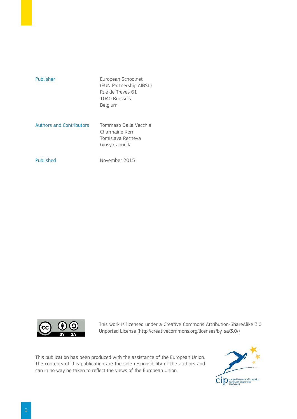| Publisher                       | European Schoolnet<br>(EUN Partnership AIBSL)<br>Rue de Treves 61<br>1040 Brussels<br>Belgium |
|---------------------------------|-----------------------------------------------------------------------------------------------|
| <b>Authors and Contributors</b> | Tommaso Dalla Vecchia<br>Charmaine Kerr<br>Tomislava Recheva<br>Giusy Cannella                |
| Published                       | November 2015                                                                                 |



This work is licensed under a Creative Commons Attribution-ShareAlike 3.0 Unported License ([http://creativecommons.org/licenses/by-sa/3.0/\)](http://creativecommons.org/licenses/by-sa/3.0/)

This publication has been produced with the assistance of the European Union. The contents of this publication are the sole responsibility of the authors and can in no way be taken to reflect the views of the European Union.

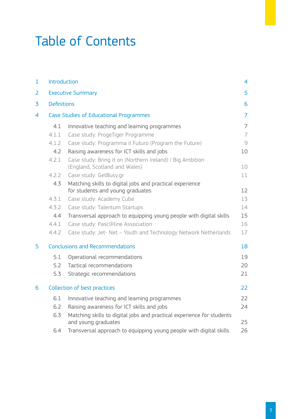# Table of Contents

| $\mathbf{1}$   | Introduction       |                                                                                              | 4              |
|----------------|--------------------|----------------------------------------------------------------------------------------------|----------------|
| $\overline{2}$ |                    | <b>Executive Summary</b>                                                                     | 5              |
| 3              | <b>Definitions</b> |                                                                                              | 6              |
| 4              |                    | <b>Case Studies of Educational Programmes</b>                                                | $\overline{7}$ |
|                | 4.1                | Innovative teaching and learning programmes                                                  | $\overline{7}$ |
|                | 4.1.1              | Case study: ProgeTiger Programme                                                             | $\overline{7}$ |
|                | 4.1.2              | Case study: Programma il Futuro (Program the Future)                                         | $\mathcal{G}$  |
|                | 4.2                | Raising awareness for ICT skills and jobs                                                    | 10             |
|                | 4.2.1              | Case study: Bring it on (Northern Ireland) / Big Ambition<br>(England, Scotland and Wales)   | 10             |
|                | 4.2.2              | Case study: GetBusy.gr                                                                       | 11             |
|                | 4.3                | Matching skills to digital jobs and practical experience<br>for students and young graduates | 12             |
|                | 4.3.1              | Case study: Academy Cube                                                                     | 13             |
|                | 4.3.2              | Case study: Talentum Startups                                                                | 14             |
|                | 4.4                | Transversal approach to equipping young people with digital skills                           | 15             |
|                | 4.4.1              | Case study: Pasc@line Association                                                            | 16             |
|                | 4.4.2              | Case study: Jet- Net - Youth and Technology Network Netherlands                              | 17             |
| 5              |                    | <b>Conclusions and Recommendations</b>                                                       | 18             |
|                | 5.1                | Operational recommendations                                                                  | 19             |
|                | 5.2                | Tactical recommendations                                                                     | 20             |
|                | 5.3                | Strategic recommendations                                                                    | 21             |
| 6              |                    | <b>Collection of best practices</b>                                                          | 22             |
|                | 6.1                | Innovative teaching and learning programmes                                                  | 22             |
|                | 6.2                | Raising awareness for ICT skills and jobs                                                    | 24             |
|                | 6.3                | Matching skills to digital jobs and practical experience for students<br>and young graduates | 25             |
|                | 6.4                | Transversal approach to equipping young people with digital skills                           | 26             |
|                |                    |                                                                                              |                |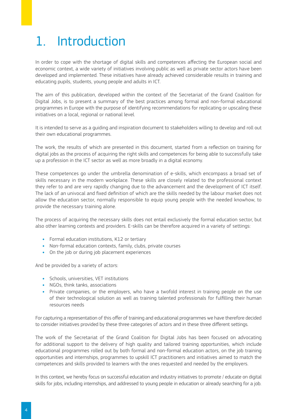# 1. Introduction

In order to cope with the shortage of digital skills and competences affecting the European social and economic context, a wide variety of initiatives involving public as well as private sector actors have been developed and implemented. These initiatives have already achieved considerable results in training and educating pupils, students, young people and adults in ICT.

The aim of this publication, developed within the context of the Secretariat of the Grand Coalition for Digital Jobs, is to present a summary of the best practices among formal and non-formal educational programmes in Europe with the purpose of identifying recommendations for replicating or upscaling these initiatives on a local, regional or national level.

It is intended to serve as a guiding and inspiration document to stakeholders willing to develop and roll out their own educational programmes.

The work, the results of which are presented in this document, started from a reflection on training for digital jobs as the process of acquiring the right skills and competences for being able to successfully take up a profession in the ICT sector as well as more broadly in a digital economy.

These competences go under the umbrella denomination of e-skills, which encompass a broad set of skills necessary in the modern workplace. These skills are closely related to the professional context they refer to and are very rapidly changing due to the advancement and the development of ICT itself. The lack of an univocal and fixed definition of which are the skills needed by the labour market does not allow the education sector, normally responsible to equip young people with the needed knowhow, to provide the necessary training alone.

The process of acquiring the necessary skills does not entail exclusively the formal education sector, but also other learning contexts and providers. E-skills can be therefore acquired in a variety of settings:

- **•** Formal education institutions, K12 or tertiary
- **•** Non-formal education contexts, family, clubs, private courses
- **•** On the job or during job placement experiences

And be provided by a variety of actors:

- **•** Schools, universities, VET institutions
- **•** NGOs, think tanks, associations
- **•** Private companies, or the employers, who have a twofold interest in training people on the use of their technological solution as well as training talented professionals for fulfilling their human resources needs

For capturing a representation of this offer of training and educational programmes we have therefore decided to consider initiatives provided by these three categories of actors and in these three different settings.

The work of the Secretariat of the Grand Coalition for Digital Jobs has been focused on advocating for additional support to the delivery of high quality and tailored training opportunities, which include educational programmes rolled out by both formal and non-formal education actors, on the job training opportunities and internships, programmes to upskill ICT practitioners and initiatives aimed to match the competences and skills provided to learners with the ones requested and needed by the employers.

In this context, we hereby focus on successful education and industry initiatives to promote / educate on digital skills for jobs, including internships, and addressed to young people in education or already searching for a job.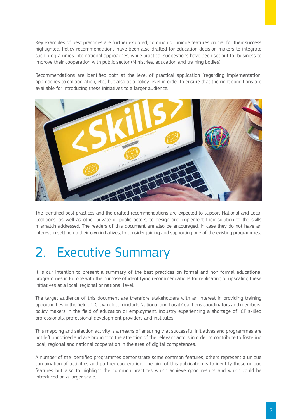Key examples of best practices are further explored, common or unique features crucial for their success highlighted. Policy recommendations have been also drafted for education decision makers to integrate such programmes into national approaches, while practical suggestions have been set out for business to improve their cooperation with public sector (Ministries, education and training bodies).

Recommendations are identified both at the level of practical application (regarding implementation, approaches to collaboration, etc.) but also at a policy level in order to ensure that the right conditions are available for introducing these initiatives to a larger audience.



The identified best practices and the drafted recommendations are expected to support National and Local Coalitions, as well as other private or public actors, to design and implement their solution to the skills mismatch addressed. The readers of this document are also be encouraged, in case they do not have an interest in setting up their own initiatives, to consider joining and supporting one of the existing programmes.

# 2. Executive Summary

It is our intention to present a summary of the best practices on formal and non-formal educational programmes in Europe with the purpose of identifying recommendations for replicating or upscaling these initiatives at a local, regional or national level.

The target audience of this document are therefore stakeholders with an interest in providing training opportunities in the field of ICT, which can include National and Local Coalitions coordinators and members, policy makers in the field of education or employment, industry experiencing a shortage of ICT skilled professionals, professional development providers and institutes.

This mapping and selection activity is a means of ensuring that successful initiatives and programmes are not left unnoticed and are brought to the attention of the relevant actors in order to contribute to fostering local, regional and national cooperation in the area of digital competences.

A number of the identified programmes demonstrate some common features, others represent a unique combination of activities and partner cooperation. The aim of this publication is to identify those unique features but also to highlight the common practices which achieve good results and which could be introduced on a larger scale.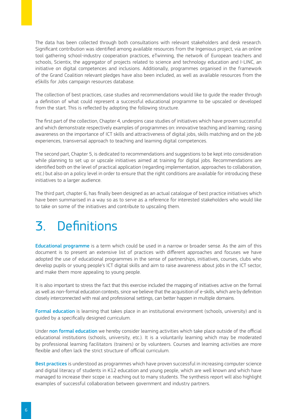The data has been collected through both consultations with relevant stakeholders and desk research. Significant contribution was identified among available resources from the Ingenious project, via an online tool gathering school-industry cooperation practices, eTwinning, the network of European teachers and schools, Scientix, the aggregator of projects related to science and technology education and I-LINC, an initiative on digital competences and inclusions. Additionally, programmes organised in the framework of the Grand Coalition relevant pledges have also been included, as well as available resources from the eSkills for Jobs campaign resources database.

The collection of best practices, case studies and recommendations would like to guide the reader through a definition of what could represent a successful educational programme to be upscaled or developed from the start. This is reflected by adopting the following structure.

The first part of the collection, Chapter 4, underpins case studies of initiatives which have proven successful and which demonstrate respectively examples of programmes on: innovative teaching and learning; raising awareness on the importance of ICT skills and attractiveness of digital jobs, skills matching and on the job experiences, transversal approach to teaching and learning digital competences.

The second part, Chapter 5, is dedicated to recommendations and suggestions to be kept into consideration while planning to set up or upscale initiatives aimed at training for digital jobs. Recommendations are identified both on the level of practical application (regarding implementation, approaches to collaboration, etc.) but also on a policy level in order to ensure that the right conditions are available for introducing these initiatives to a larger audience.

The third part, chapter 6, has finally been designed as an actual catalogue of best practice initiatives which have been summarised in a way so as to serve as a reference for interested stakeholders who would like to take on some of the initiatives and contribute to upscaling them.

# 3. Definitions

Educational programme is a term which could be used in a narrow or broader sense. As the aim of this document is to present an extensive list of practices with different approaches and focuses we have adopted the use of educational programmes in the sense of partnerships, initiatives, courses, clubs who develop pupils or young people's ICT digital skills and aim to raise awareness about jobs in the ICT sector, and make them more appealing to young people.

It is also important to stress the fact that this exercise included the mapping of initiatives active on the formal as well as non-formal education contexts, since we believe that the acquisition of e-skills, which are by definition closely interconnected with real and professional settings, can better happen in multiple domains.

Formal education is learning that takes place in an institutional environment (schools, university) and is guided by a specifically designed curriculum.

Under non formal education we hereby consider learning activities which take place outside of the official educational institutions (schools, university, etc.). It is a voluntarily learning which may be moderated by professional learning facilitators (trainers) or by volunteers. Courses and learning activities are more flexible and often lack the strict structure of official curriculum.

Best practices is understood as programmes which have proven successful in increasing computer science and digital literacy of students in K12 education and young people, which are well known and which have managed to increase their scope i.e. reaching out to many students. The synthesis report will also highlight examples of successful collaboration between government and industry partners.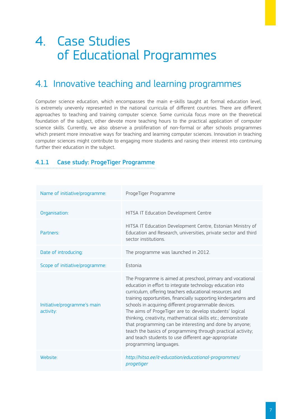# 4. Case Studies of Educational Programmes

## 4.1 Innovative teaching and learning programmes

Computer science education, which encompasses the main e-skills taught at formal education level, is extremely unevenly represented in the national curricula of different countries. There are different approaches to teaching and training computer science. Some curricula focus more on the theoretical foundation of the subject, other devote more teaching hours to the practical application of computer science skills. Currently, we also observe a proliferation of non-formal or after schools programmes which present more innovative ways for teaching and learning computer sciences. Innovation in teaching computer sciences might contribute to engaging more students and raising their interest into continuing further their education in the subject.

### 4.1.1 Case study: ProgeTiger Programme

| Name of initiative/programme:            | ProgeTiger Programme                                                                                                                                                                                                                                                                                                                                                                                                                                                                                                                                                                                                                                   |  |
|------------------------------------------|--------------------------------------------------------------------------------------------------------------------------------------------------------------------------------------------------------------------------------------------------------------------------------------------------------------------------------------------------------------------------------------------------------------------------------------------------------------------------------------------------------------------------------------------------------------------------------------------------------------------------------------------------------|--|
| Organisation:                            | HITSA IT Education Development Centre                                                                                                                                                                                                                                                                                                                                                                                                                                                                                                                                                                                                                  |  |
| Partners:                                | HITSA IT Education Development Centre, Estonian Ministry of<br>Education and Research, universities, private sector and third<br>sector institutions.                                                                                                                                                                                                                                                                                                                                                                                                                                                                                                  |  |
| Date of introducing:                     | The programme was launched in 2012.                                                                                                                                                                                                                                                                                                                                                                                                                                                                                                                                                                                                                    |  |
| Scope of initiative/programme:           | <b>Estonia</b>                                                                                                                                                                                                                                                                                                                                                                                                                                                                                                                                                                                                                                         |  |
| Initiative/programme's main<br>activity: | The Programme is aimed at preschool, primary and vocational<br>education in effort to integrate technology education into<br>curriculum, offering teachers educational resources and<br>training opportunities, financially supporting kindergartens and<br>schools in acquiring different programmable devices.<br>The aims of ProgeTiger are to: develop students' logical<br>thinking, creativity, mathematical skills etc.; demonstrate<br>that programming can be interesting and done by anyone;<br>teach the basics of programming through practical activity;<br>and teach students to use different age-appropriate<br>programming languages. |  |
| Website:                                 | http://hitsa.ee/it-education/educational-programmes/<br>progetiger                                                                                                                                                                                                                                                                                                                                                                                                                                                                                                                                                                                     |  |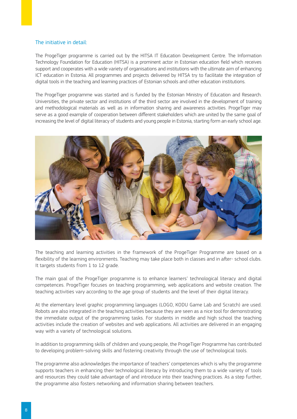### The initiative in detail:

The ProgeTiger programme is carried out by the HITSA IT Education Development Centre. The Information Technology Foundation for Education (HITSA) is a prominent actor in Estonian education field which receives support and cooperates with a wide variety of organisations and institutions with the ultimate aim of enhancing ICT education in Estonia. All programmes and projects delivered by HITSA try to facilitate the integration of digital tools in the teaching and learning practices of Estonian schools and other education institutions.

The ProgeTiger programme was started and is funded by the Estonian Ministry of Education and Research. Universities, the private sector and institutions of the third sector are involved in the development of training and methodological materials as well as in information sharing and awareness activities. ProgeTiger may serve as a good example of cooperation between different stakeholders which are united by the same goal of increasing the level of digital literacy of students and young people in Estonia, starting form an early school age.



The teaching and learning activities in the framework of the ProgeTiger Programme are based on a flexibility of the learning environments. Teaching may take place both in classes and in after- school clubs. It targets students from 1 to 12 grade.

The main goal of the ProgeTiger programme is to enhance learners' technological literacy and digital competences. ProgeTiger focuses on teaching programming, web applications and website creation. The teaching activities vary according to the age group of students and the level of their digital literacy.

At the elementary level graphic programming languages (LOGO, KODU Game Lab and Scratch) are used. Robots are also integrated in the teaching activities because they are seen as a nice tool for demonstrating the immediate output of the programming tasks. For students in middle and high school the teaching activities include the creation of websites and web applications. All activities are delivered in an engaging way with a variety of technological solutions.

In addition to programming skills of children and young people, the ProgeTiger Programme has contributed to developing problem-solving skills and fostering creativity through the use of technological tools.

The programme also acknowledges the importance of teachers' competences which is why the programme supports teachers in enhancing their technological literacy by introducing them to a wide variety of tools and resources they could take advantage of and introduce into their teaching practices. As a step further, the programme also fosters networking and information sharing between teachers.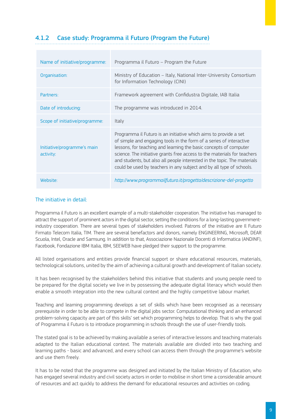### 4.1.2 Case study: Programma il Futuro (Program the Future)

| Name of initiative/programme:            | Programma il Futuro – Program the Future                                                                                                                                                                                                                                                                                                                                                                                                     |
|------------------------------------------|----------------------------------------------------------------------------------------------------------------------------------------------------------------------------------------------------------------------------------------------------------------------------------------------------------------------------------------------------------------------------------------------------------------------------------------------|
| Organisation:                            | Ministry of Education - Italy, National Inter-University Consortium<br>for Information Technology (CINI)                                                                                                                                                                                                                                                                                                                                     |
| Partners:                                | Framework agreement with Confidustra Digitale, IAB Italia                                                                                                                                                                                                                                                                                                                                                                                    |
| Date of introducing:                     | The programme was introduced in 2014.                                                                                                                                                                                                                                                                                                                                                                                                        |
| Scope of initiative/programme:           | Italy                                                                                                                                                                                                                                                                                                                                                                                                                                        |
| Initiative/programme's main<br>activity: | Programma il Futuro is an initiative which aims to provide a set<br>of simple and engaging tools in the form of a series of interactive<br>lessons, for teaching and learning the basic concepts of computer<br>science. The initiative grants free access to the materials for teachers<br>and students, but also all people interested in the topic. The materials<br>could be used by teachers in any subject and by all type of schools. |
| Website:                                 | http://www.programmailfuturo.it/progetto/descrizione-del-progetto                                                                                                                                                                                                                                                                                                                                                                            |

### The initiative in detail:

Programma il Futuro is an excellent example of a multi-stakeholder cooperation. The initiative has managed to attract the support of prominent actors in the digital sector, setting the conditions for a long-lasting governmentindustry cooperation. There are several types of stakeholders involved. Patrons of the initiative are Il Futuro Firmato Telecom Italia, TIM. There are several benefactors and donors, namely ENGINEERING, Microsoft, DEAR Scuola, Intel, Oracle and Samsung. In addition to that, Associazione Nazionale Docenti di Informatica (ANDINF), Facebook, Fondazione IBM Italia, IBM, SEEWEB have pledged their support to the programme.

All listed organisations and entities provide financial support or share educational resources, materials, technological solutions, united by the aim of achieving a cultural growth and development of Italian society.

It has been recognised by the stakeholders behind this initiative that students and young people need to be prepared for the digital society we live in by possessing the adequate digital literacy which would then enable a smooth integration into the new cultural context and the highly competitive labour market.

Teaching and learning programming develops a set of skills which have been recognised as a necessary prerequisite in order to be able to compete in the digital jobs sector. Computational thinking and an enhanced problem-solving capacity are part of this skills' set which programming helps to develop. That is why the goal of Programma il Futuro is to introduce programming in schools through the use of user-friendly tools.

The stated goal is to be achieved by making available a series of interactive lessons and teaching materials adapted to the Italian educational context. The materials available are divided into two teaching and learning paths - basic and advanced, and every school can access them through the programme's website and use them freely.

It has to be noted that the programme was designed and initiated by the Italian Ministry of Education, who has engaged several industry and civil society actors in order to mobilise in short time a considerable amount of resources and act quickly to address the demand for educational resources and activities on coding.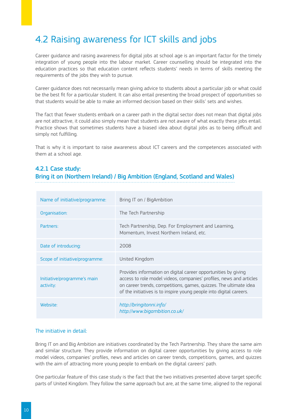## 4.2 Raising awareness for ICT skills and jobs

Career guidance and raising awareness for digital jobs at school age is an important factor for the timely integration of young people into the labour market. Career counselling should be integrated into the education practices so that education content reflects students' needs in terms of skills meeting the requirements of the jobs they wish to pursue.

Career guidance does not necessarily mean giving advice to students about a particular job or what could be the best fit for a particular student. It can also entail presenting the broad prospect of opportunities so that students would be able to make an informed decision based on their skills' sets and wishes.

The fact that fewer students embark on a career path in the digital sector does not mean that digital jobs are not attractive, it could also simply mean that students are not aware of what exactly these jobs entail. Practice shows that sometimes students have a biased idea about digital jobs as to being difficult and simply not fulfilling.

That is why it is important to raise awareness about ICT careers and the competences associated with them at a school age.

### 4.2.1 Case study:

Bring it on (Northern Ireland) / Big Ambition (England, Scotland and Wales)

| Name of initiative/programme:            | Bring IT on / BigAmbition                                                                                                                                                                                                                                                         |
|------------------------------------------|-----------------------------------------------------------------------------------------------------------------------------------------------------------------------------------------------------------------------------------------------------------------------------------|
| Organisation:                            | The Tech Partnership                                                                                                                                                                                                                                                              |
| Partners:                                | Tech Partnership, Dep. For Employment and Learning,<br>Momentum, Invest Northern Ireland, etc.                                                                                                                                                                                    |
| Date of introducing:                     | 2008                                                                                                                                                                                                                                                                              |
| Scope of initiative/programme:           | United Kingdom                                                                                                                                                                                                                                                                    |
| Initiative/programme's main<br>activity: | Provides information on digital career opportunities by giving<br>access to role model videos, companies' profiles, news and articles<br>on career trends, competitions, games, quizzes. The ultimate idea<br>of the initiatives is to inspire young people into digital careers. |
| Website:                                 | http://bringitonni.info/<br>http://www.bigambition.co.uk/                                                                                                                                                                                                                         |

### The initiative in detail:

Bring IT on and Big Ambition are initiatives coordinated by the Tech Partnership. They share the same aim and similar structure. They provide information on digital career opportunities by giving access to role model videos, companies' profiles, news and articles on career trends, competitions, games, and quizzes with the aim of attracting more young people to embark on the digital careers' path.

One particular feature of this case study is the fact that the two initiatives presented above target specific parts of United Kingdom. They follow the same approach but are, at the same time, aligned to the regional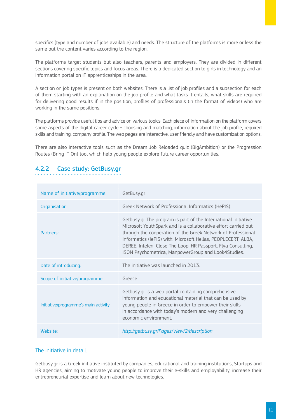specifics (type and number of jobs available) and needs. The structure of the platforms is more or less the same but the content varies according to the region.

The platforms target students but also teachers, parents and employers. They are divided in different sections covering specific topics and focus areas. There is a dedicated section to girls in technology and an information portal on IT apprenticeships in the area.

A section on job types is present on both websites. There is a list of job profiles and a subsection for each of them starting with an explanation on the job profile and what tasks it entails, what skills are required for delivering good results if in the position, profiles of professionals (in the format of videos) who are working in the same positions.

The platforms provide useful tips and advice on various topics. Each piece of information on the platform covers some aspects of the digital career cycle - choosing and matching, information about the job profile, required skills and training, company profile. The web pages are interactive, user friendly and have customization options.

There are also interactive tools such as the Dream Job Reloaded quiz (BigAmbition) or the Progression Routes (Bring IT On) tool which help young people explore future career opportunities.

### 4.2.2 Case study: GetBusy.gr

| Name of initiative/programme:         | GetBusy.gr                                                                                                                                                                                                                                                                                                                                                                                |
|---------------------------------------|-------------------------------------------------------------------------------------------------------------------------------------------------------------------------------------------------------------------------------------------------------------------------------------------------------------------------------------------------------------------------------------------|
| Organisation:                         | Greek Network of Professional Informatics (HePIS)                                                                                                                                                                                                                                                                                                                                         |
| Partners:                             | Getbusy.gr The program is part of the International Initiative<br>Microsoft YouthSpark and is a collaborative effort carried out<br>through the cooperation of the Greek Network of Professional<br>Informatics (IePIS) with: Microsoft Hellas, PEOPLECERT, ALBA,<br>DEREE, Intelen, Close The Loop, HR Passport, Flya Consulting,<br>ISON Psychometrica, ManpowerGroup and Look4Studies. |
| Date of introducing:                  | The initiative was launched in 2013.                                                                                                                                                                                                                                                                                                                                                      |
| Scope of initiative/programme:        | Greece                                                                                                                                                                                                                                                                                                                                                                                    |
| Initiative/programme's main activity: | Getbusy.gr is a web portal containing comprehensive<br>information and educational material that can be used by<br>young people in Greece in order to empower their skills<br>in accordance with today's modern and very challenging<br>economic environment.                                                                                                                             |
| Website:                              | http://getbusy.gr/Pages/View/2/description                                                                                                                                                                                                                                                                                                                                                |

### The initiative in detail:

Getbusy.gr is a Greek initiative instituted by companies, educational and training institutions, Startups and HR agencies, aiming to motivate young people to improve their e-skills and employability, increase their entrepreneurial expertise and learn about new technologies.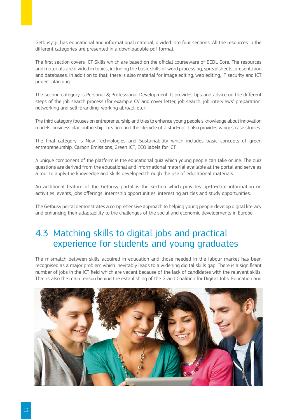Getbusy.gr, has educational and informational material, divided into four sections. All the resources in the different categories are presented in a downloadable pdf format.

The first section covers ICT Skills which are based on the official courseware of ECDL Core. The resources and materials are divided in topics, including the basic skills of word processing, spreadsheets, presentation and databases. In addition to that, there is also material for image editing, web editing, IT security and ICT project planning.

The second category is Personal & Professional Development. It provides tips and advice on the different steps of the job search process (for example CV and cover letter, job search, job interviews' preparation, networking and self-branding, working abroad, etc).

The third category focuses on entrepreneurship and tries to enhance young people's knowledge about innovation models, business plan authorship, creation and the lifecycle of a start-up. It also provides various case studies.

The final category is New Technologies and Sustainability which includes basic concepts of green entrepreneurship, Carbon Emissions, Green ICT, ECO labels for ICT.

A unique component of the platform is the educational quiz which young people can take online. The quiz questions are derived from the educational and informational material available at the portal and serve as a tool to apply the knowledge and skills developed through the use of educational materials.

An additional feature of the Getbusy portal is the section which provides up-to-date information on activities, events, jobs offerings, internship opportunities, interesting articles and study opportunities.

The Getbusy portal demonstrates a comprehensive approach to helping young people develop digital literacy and enhancing their adaptability to the challenges of the social and economic developments in Europe.

## 4.3 Matching skills to digital jobs and practical experience for students and young graduates

The mismatch between skills acquired in education and those needed in the labour market has been recognised as a major problem which inevitably leads to a widening digital skills gap. There is a significant number of jobs in the ICT field which are vacant because of the lack of candidates with the relevant skills. That is also the main reason behind the establishing of the Grand Coalition for Digital Jobs. Education and

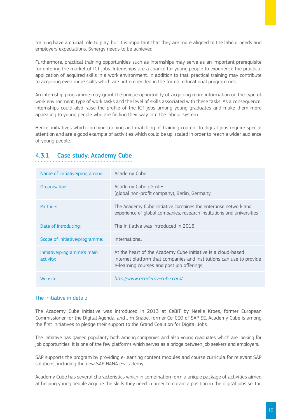training have a crucial role to play, but it is important that they are more aligned to the labour needs and employers expectations. Synergy needs to be achieved.

Furthermore, practical training opportunities such as internships may serve as an important prerequisite for entering the market of ICT jobs. Internships are a chance for young people to experience the practical application of acquired skills in a work environment. In addition to that, practical training may contribute to acquiring even more skills which are not embedded in the formal educational programmes.

An internship programme may grant the unique opportunity of acquiring more information on the type of work environment, type of work tasks and the level of skills associated with these tasks. As a consequence, internships could also raise the profile of the ICT jobs among young graduates and make them more appealing to young people who are finding their way into the labour system.

Hence, initiatives which combine training and matching of training content to digital jobs require special attention and are a good example of activities which could be up-scaled in order to reach a wider audience of young people.

| Name of initiative/programme:            | Academy Cube                                                                                                                                                                       |
|------------------------------------------|------------------------------------------------------------------------------------------------------------------------------------------------------------------------------------|
| Organisation:                            | Academy Cube gGmbH<br>(global non-profit company), Berlin, Germany.                                                                                                                |
| Partners:                                | The Academy Cube initiative combines the enterprise network and<br>experience of global companies, research institutions and universities                                          |
| Date of introducing:                     | The initiative was introduced in 2013.                                                                                                                                             |
| Scope of initiative/programme:           | International                                                                                                                                                                      |
| Initiative/programme's main<br>activity: | At the heart of the Academy Cube initiative is a cloud-based<br>internet platform that companies and institutions can use to provide<br>e-learning courses and post job offerings. |
| Website:                                 | http://www.academy-cube.com/                                                                                                                                                       |

### 4.3.1 Case study: Academy Cube

### The initiative in detail:

The Academy Cube initiative was introduced in 2013 at CeBIT by Neelie Kroes, former European Commissioner for the Digital Agenda, and Jim Snabe, former Co-CEO of SAP SE. Academy Cube is among the first initiatives to pledge their support to the Grand Coalition for Digital Jobs.

The initiative has gained popularity both among companies and also young graduates which are looking for job opportunities. It is one of the few platforms which serves as a bridge between job seekers and employers.

SAP supports the program by providing e-learning content modules and course curricula for relevant SAP solutions, including the new SAP HANA e-academy.

Academy Cube has several characteristics which in combination form a unique package of activities aimed at helping young people acquire the skills they need in order to obtain a position in the digital jobs sector.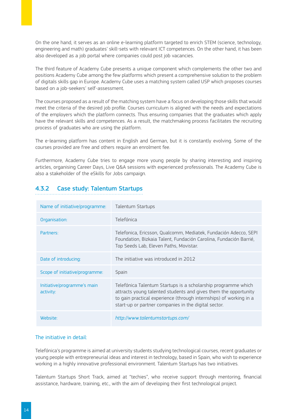On the one hand, it serves as an online e-learning platform targeted to enrich STEM (science, technology, engineering and math) graduates' skill-sets with relevant ICT competences. On the other hand, it has been also developed as a job portal where companies could post job vacancies.

The third feature of Academy Cube presents a unique component which complements the other two and positions Academy Cube among the few platforms which present a comprehensive solution to the problem of digitals skills gap in Europe. Academy Cube uses a matching system called USP which proposes courses based on a job-seekers' self-assessment.

The courses proposed as a result of the matching system have a focus on developing those skills that would meet the criteria of the desired job profile. Courses curriculum is aligned with the needs and expectations of the employers which the platform connects. Thus ensuring companies that the graduates which apply have the relevant skills and competences. As a result, the matchmaking process facilitates the recruiting process of graduates who are using the platform.

The e-learning platform has content in English and German, but it is constantly evolving. Some of the courses provided are free and others require an enrolment fee.

Furthermore, Academy Cube tries to engage more young people by sharing interesting and inspiring articles, organising Career Days, Live Q&A sessions with experienced professionals. The Academy Cube is also a stakeholder of the eSkills for Jobs campaign.

| Name of initiative/programme:            | <b>Talentum Startups</b>                                                                                                                                                                                                                                       |
|------------------------------------------|----------------------------------------------------------------------------------------------------------------------------------------------------------------------------------------------------------------------------------------------------------------|
| Organisation:                            | Telefónica                                                                                                                                                                                                                                                     |
| Partners:                                | Telefonica, Ericsson, Qualcomm, Mediatek, Fundación Adecco, SEPI<br>Foundation, Bizkaia Talent, Fundación Carolina, Fundación Barrié,<br>Top Seeds Lab, Eleven Paths, Movistar.                                                                                |
| Date of introducing:                     | The initiative was introduced in 2012                                                                                                                                                                                                                          |
| Scope of initiative/programme:           | Spain                                                                                                                                                                                                                                                          |
| Initiative/programme's main<br>activity: | Telefónica Talentum Startups is a scholarship programme which<br>attracts young talented students and gives them the opportunity<br>to gain practical experience (through internships) of working in a<br>start-up or partner companies in the digital sector. |
| Website:                                 | http://www.talentumstartups.com/                                                                                                                                                                                                                               |

### 4.3.2 Case study: Talentum Startups

### The initiative in detail:

Telefónica's programme is aimed at university students studying technological courses, recent graduates or young people with entrepreneurial ideas and interest in technology, based in Spain, who wish to experience working in a highly innovative professional environment. Talentum Startups has two initiatives.

Talentum Startups Short Track, aimed at "techies", who receive support through mentoring, financial assistance, hardware, training, etc., with the aim of developing their first technological project.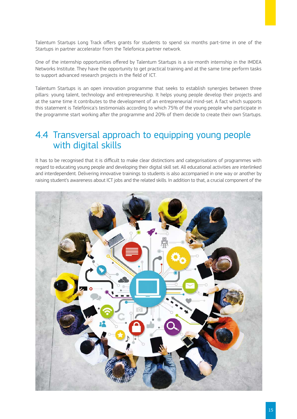Talentum Startups Long Track offers grants for students to spend six months part-time in one of the Startups in partner accelerator from the Telefonica partner network.

One of the internship opportunities offered by Talentum Startups is a six-month internship in the IMDEA Networks Institute. They have the opportunity to get practical training and at the same time perform tasks to support advanced research projects in the field of ICT.

Talentum Startups is an open innovation programme that seeks to establish synergies between three pillars: young talent, technology and entrepreneurship. It helps young people develop their projects and at the same time it contributes to the development of an entrepreneurial mind-set. A fact which supports this statement is Telefónica's testimonials according to which 75% of the young people who participate in the programme start working after the programme and 20% of them decide to create their own Startups.

## 4.4 Transversal approach to equipping young people with digital skills

It has to be recognised that it is difficult to make clear distinctions and categorisations of programmes with regard to educating young people and developing their digital skill set. All educational activities are interlinked and interdependent. Delivering innovative trainings to students is also accompanied in one way or another by raising student's awareness about ICT jobs and the related skills. In addition to that, a crucial component of the

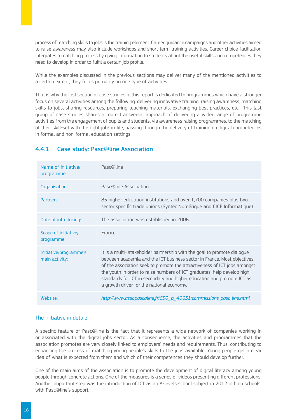process of matching skills to jobs is the training element. Career guidance campaigns and other activities aimed to raise awareness may also include workshops and short-term training activities. Career choice facilitation integrates a matching process by giving information to students about the useful skills and competences they need to develop in order to fulfil a certain job profile.

While the examples discussed in the previous sections may deliver many of the mentioned activities to a certain extent, they focus primarily on one type of activities.

That is why the last section of case studies in this report is dedicated to programmes which have a stronger focus on several activities among the following: delivering innovative training, raising awareness, matching skills to jobs, sharing resources, preparing teaching materials, exchanging best practices, etc. This last group of case studies shares a more transversal approach of delivering a wider range of programme activities from the engagement of pupils and students, via awareness raising programmes, to the matching of their skill-set with the right job-profile, passing through the delivery of training on digital competences in formal and non-formal education settings.

### 4.4.1 Case study: Pasc@line Association

| Name of initiative/<br>programme:        | Pasc@line                                                                                                                                                                                                                                                                                                                                                                                                                         |
|------------------------------------------|-----------------------------------------------------------------------------------------------------------------------------------------------------------------------------------------------------------------------------------------------------------------------------------------------------------------------------------------------------------------------------------------------------------------------------------|
| Organisation:                            | Pasc@line Association                                                                                                                                                                                                                                                                                                                                                                                                             |
| Partners:                                | 85 higher education institutions and over 1,700 companies plus two<br>sector specific trade unions (Syntec Numérique and CICF Informatique)                                                                                                                                                                                                                                                                                       |
| Date of introducing:                     | The association was established in 2006.                                                                                                                                                                                                                                                                                                                                                                                          |
| Scope of initiative/<br>programme:       | France                                                                                                                                                                                                                                                                                                                                                                                                                            |
| Initiative/programme's<br>main activity: | It is a multi-stakeholder partnership with the goal to promote dialogue<br>between academia and the ICT business sector in France. Most objectives<br>of the association seek to promote the attractiveness of ICT jobs amongst<br>the youth in order to raise numbers of ICT graduates, help develop high<br>standards for ICT in secondary and higher education and promote ICT as<br>a growth driver for the national economy. |
| Website:                                 | http://www.assopascaline.fr/650_p_40631/commissions-pasc-line.html                                                                                                                                                                                                                                                                                                                                                                |

### The initiative in detail:

A specific feature of Pasc@line is the fact that it represents a wide network of companies working in or associated with the digital jobs sector. As a consequence, the activities and programmes that the association promotes are very closely linked to employers' needs and requirements. Thus, contributing to enhancing the process of matching young people's skills to the jobs available. Young people get a clear idea of what is expected from them and which of their competences they should develop further.

One of the main aims of the association is to promote the development of digital literacy among young people through concrete actions. One of the measures is a series of videos presenting different professions. Another important step was the introduction of ICT as an A-levels school subject in 2012 in high schools, with Pasc@line's support.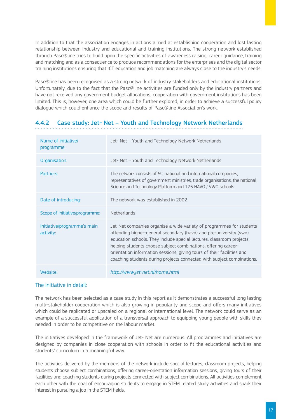In addition to that the association engages in actions aimed at establishing cooperation and lost lasting relationship between industry and educational and training institutions. The strong network established through Pasc@line tries to build upon the specific activities of awareness raising, career guidance, training and matching and as a consequence to produce recommendations for the enterprises and the digital sector training institutions ensuring that ICT education and job matching are always close to the industry's needs.

Pasc@line has been recognised as a strong network of industry stakeholders and educational institutions. Unfortunately, due to the fact that the Pasc@line activities are funded only by the industry partners and have not received any government budget allocations, cooperation with government institutions has been limited. This is, however, one area which could be further explored, in order to achieve a successful policy dialogue which could enhance the scope and results of Pasc@line Association's work.

### 4.4.2 Case study: Jet- Net – Youth and Technology Network Netherlands

| Name of initiative<br>programme:         | Jet- Net - Youth and Technology Network Netherlands                                                                                                                                                                                                                                                                                                                                                                                       |
|------------------------------------------|-------------------------------------------------------------------------------------------------------------------------------------------------------------------------------------------------------------------------------------------------------------------------------------------------------------------------------------------------------------------------------------------------------------------------------------------|
| Organisation:                            | Jet- Net - Youth and Technology Network Netherlands                                                                                                                                                                                                                                                                                                                                                                                       |
| Partners:                                | The network consists of 91 national and international companies,<br>representatives of government ministries, trade organisations, the national<br>Science and Technology Platform and 175 HAVO / VWO schools.                                                                                                                                                                                                                            |
| Date of introducing:                     | The network was established in 2002                                                                                                                                                                                                                                                                                                                                                                                                       |
| Scope of initiative/programme:           | <b>Netherlands</b>                                                                                                                                                                                                                                                                                                                                                                                                                        |
| Initiative/programme's main<br>activity: | Jet-Net companies organise a wide variety of programmes for students<br>attending higher-general secondary (havo) and pre-university (vwo)<br>education schools. They include special lectures, classroom projects,<br>helping students choose subject combinations, offering career-<br>orientation information sessions, giving tours of their facilities and<br>coaching students during projects connected with subject combinations. |
| Website:                                 | http://www.jet-net.nl/home.html                                                                                                                                                                                                                                                                                                                                                                                                           |

### The initiative in detail:

The network has been selected as a case study in this report as it demonstrates a successful long lasting multi-stakeholder cooperation which is also growing in popularity and scope and offers many initiatives which could be replicated or upscaled on a regional or international level. The network could serve as an example of a successful application of a transversal approach to equipping young people with skills they needed in order to be competitive on the labour market.

The initiatives developed in the framework of Jet- Net are numerous. All programmes and initiatives are designed by companies in close cooperation with schools in order to fit the educational activities and students' curriculum in a meaningful way.

The activities delivered by the members of the network include special lectures, classroom projects, helping students choose subject combinations, offering career-orientation information sessions, giving tours of their facilities and coaching students during projects connected with subject combinations. All activities complement each other with the goal of encouraging students to engage in STEM related study activities and spark their interest in pursuing a job in the STEM fields.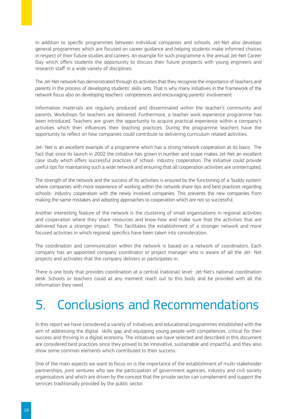In addition to specific programmes between individual companies and schools, Jet-Net also develops general programmes which are focused on career guidance and helping students make informed choices in respect of their future studies and careers. An example for such programme is the annual Jet-Net Career Day which offers students the opportunity to discuss their future prospects with young engineers and research staff in a wide variety of disciplines.

The Jet-Net network has demonstrated through its activities that they recognise the importance of teachers and parents in the process of developing students' skills sets. That is why many initiatives in the framework of the network focus also on developing teachers' competences and encouraging parents' involvement.

Information materials are regularly produced and disseminated within the teacher's community and parents. Workshops for teachers are delivered. Furthermore, a teacher work experience programme has been introduced. Teachers are given the opportunity to acquire practical experience within a company's activities which then influences their teaching practices. During the programme teachers have the opportunity to reflect on how companies could contribute to delivering curriculum related activities.

Jet- Net is an excellent example of a programme which has a strong network cooperation at its basis. The fact that since its launch in 2002 the initiative has grown in number and scope makes Jet-Net an excellent case study which offers successful practices of school- industry cooperation. The initiative could provide useful tips for maintaining such a wide network and ensuring that all cooperation activities are uninterrupted.

The strength of the network and the success of its activities is ensured by the functioning of a 'buddy system' where companies with more experience of working within the network share tips and best practices regarding schools- industry cooperation with the newly involved companies. This prevents the new companies from making the same mistakes and adopting approaches to cooperation which are not so successful.

Another interesting feature of the network is the clustering of small organisations in regional activities and cooperation where they share resources and know-how and make sure that the activities that are delivered have a stronger impact. This facilitates the establishment of a stronger network and more focused activities in which regional specifics have been taken into consideration.

The coordination and communication within the network is based on a network of coordinators. Each company has an appointed company coordinator or project manager who is aware of all the Jet- Net projects and activates that the company delivers or participates in.

There is one body that provides coordination at a central (national) level- Jet-Net's national coordination desk. Schools or teachers could at any moment reach out to this body and be provided with all the information they need.

# 5. Conclusions and Recommendations

In this report we have considered a variety of initiatives and educational programmes established with the aim of addressing the digital skills gap and equipping young people with competences, critical for their success and thriving in a digital economy. The initiatives we have selected and described in this document are considered best practices since they proved to be innovative, sustainable and impactful, and they also show some common elements which contributed to their success.

One of the main aspects we want to focus on is the importance of the establishment of multi-stakeholder partnerships, joint ventures who see the participation of government agencies, industry and civil society organisations and which are driven by the concept that the private sector can complement and support the services traditionally provided by the public sector.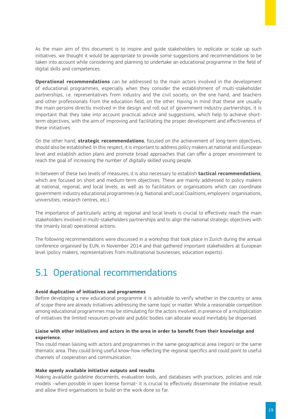As the main aim of this document is to inspire and guide stakeholders to replicate or scale up such initiatives, we thought it would be appropriate to provide some suggestions and recommendations to be taken into account while considering and planning to undertake an educational programme in the field of digital skills and competences.

**Operational recommendations** can be addressed to the main actors involved in the development of educational programmes, especially when they consider the establishment of multi-stakeholder partnerships, i.e. representatives from industry and the civil society, on the one hand, and teachers and other professionals from the education field, on the other. Having in mind that these are usually the main persons directly involved in the design and roll out of government-industry partnerships, it is important that they take into account practical advice and suggestions, which help to achieve shortterm objectives, with the aim of improving and facilitating the proper development and effectiveness of these initiatives.

On the other hand, **strategic recommendations**, focused on the achievement of long-term objectives, should also be established. In this respect, it is important to address policy makers at national and European level and establish action plans and promote broad approaches that can offer a proper environment to reach the goal of increasing the number of digitally skilled young people.

In between of these two levels of measures, it is also necessary to establish **tactical recommendations**, which are focused on short and medium-term objectives. These are mainly addressed to policy makers at national, regional, and local levels, as well as to facilitators or organisations which can coordinate government-industry educational programmes (e.g. National and Local Coalitions, employers' organisations, universities, research centres, etc.).

The importance of particularly acting at regional and local levels is crucial to effectively reach the main stakeholders involved in multi-stakeholders partnerships and to align the national strategic objectives with the (mainly local) operational actions.

The following recommendations were discussed in a workshop that took place in Zurich during the annual conference organised by EUN, in November 2014 and that gathered important stakeholders at European level (policy makers, representatives from multinational businesses, education experts).

## 5.1 Operational recommendations

### **Avoid duplication of initiatives and programmes**

Before developing a new educational programme it is advisable to verify whether in the country or area of scope there are already initiatives addressing the same topic or matter. While a reasonable competition among educational programmes may be stimulating for the actors involved, in presence of a multiplication of initiatives the limited resources private and public bodies can allocate would inevitably be dispersed.

### **Liaise with other initiatives and actors in the area in order to benefit from their knowledge and experience.**

This could mean liaising with actors and programmes in the same geographical area (region) or the same thematic area. They could bring useful know-how reflecting the regional specifics and could point to useful channels of cooperation and communication.

### **Make openly available initiative outputs and results**

Making available guideline documents, evaluation tools, and databases with practices, policies and role models –when possible in open license format- it is crucial to effectively disseminate the initiative result and allow third organisations to build on the work done so far.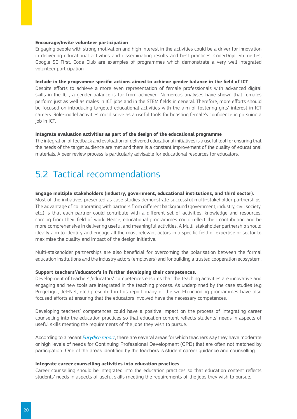### **Encourage/Invite volunteer participation**

Engaging people with strong motivation and high interest in the activities could be a driver for innovation in delivering educational activities and disseminating results and best practices. CoderDojo, Stemettes, Google SC First, Code Club are examples of programmes which demonstrate a very well integrated volunteer participation.

#### **Include in the programme specific actions aimed to achieve gender balance in the field of ICT**

Despite efforts to achieve a more even representation of female professionals with advanced digital skills in the ICT, a gender balance is far from achieved. Numerous analyses have shown that females perform just as well as males in ICT jobs and in the STEM fields in general. Therefore, more efforts should be focused on introducing targeted educational activities with the aim of fostering girls' interest in ICT careers. Role-model activities could serve as a useful tools for boosting female's confidence in pursuing a job in ICT.

#### **Integrate evaluation activities as part of the design of the educational programme**

The integration of feedback and evaluation of delivered educational initiatives is a useful tool for ensuring that the needs of the target audience are met and there is a constant improvement of the quality of educational materials. A peer review process is particularly advisable for educational resources for educators.

## 5.2 Tactical recommendations

#### **Engage multiple stakeholders (industry, government, educational institutions, and third sector).**

Most of the initiatives presented as case studies demonstrate successful multi-stakeholder partnerships. The advantage of collaborating with partners from different background (government, industry, civil society, etc.) is that each partner could contribute with a different set of activities, knowledge and resources, coming from their field of work. Hence, educational programmes could reflect their contribution and be more comprehensive in delivering useful and meaningful activities. A Multi-stakeholder partnership should ideally aim to identify and engage all the most relevant actors in a specific field of expertise or sector to maximise the quality and impact of the design initiative.

Multi-stakeholder partnerships are also beneficial for overcoming the polarisation between the formal education institutions and the industry actors (employers) and for building a trusted cooperation ecosystem.

#### **Support teachers'/educator's in further developing their competences.**

Development of teachers'/educators' competences ensures that the teaching activities are innovative and engaging and new tools are integrated in the teaching process. As underpinned by the case studies (e.g ProgeTiger, Jet-Net, etc.) presented in this report many of the well-functioning programmes have also focused efforts at ensuring that the educators involved have the necessary competences.

Developing teachers' competences could have a positive impact on the process of integrating career counselling into the education practices so that education content reflects students' needs in aspects of useful skills meeting the requirements of the jobs they wish to pursue.

According to a recent *[Eurydice report](http://eacea.ec.europa.eu/education/eurydice/documents/thematic_reports/184EN.pdf)*, there are several areas for which teachers say they have moderate or high levels of needs for Continuing Professional Development (CPD) that are often not matched by participation. One of the areas identified by the teachers is student career guidance and counselling.

#### **Integrate career counselling activities into education practices**

Career counselling should be integrated into the education practices so that education content reflects students' needs in aspects of useful skills meeting the requirements of the jobs they wish to pursue.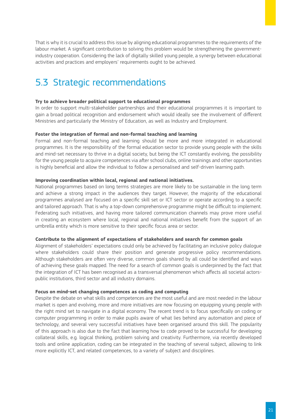That is why it is crucial to address this issue by aligning educational programmes to the requirements of the labour market. A significant contribution to solving this problem would be strengthening the governmentindustry cooperation. Considering the lack of digitally skilled young people, a synergy between educational activities and practices and employers' requirements ought to be achieved.

## 5.3 Strategic recommendations

### **Try to achieve broader political support to educational programmes**

In order to support multi-stakeholder partnerships and their educational programmes it is important to gain a broad political recognition and endorsement which would ideally see the involvement of different Ministries and particularly the Ministry of Education, as well as Industry and Employment.

### **Foster the integration of formal and non-formal teaching and learning**

Formal and non-formal teaching and learning should be more and more integrated in educational programmes. It is the responsibility of the formal education sector to provide young people with the skills and mind-set necessary to thrive in a digital society, but being the ICT constantly evolving, the possibility for the young people to acquire competences via after school clubs, online trainings and other opportunities is highly beneficial and allow the individual to follow a personalised and self-driven learning path.

### **Improving coordination within local, regional and national initiatives.**

National programmes based on long terms strategies are more likely to be sustainable in the long term and achieve a strong impact in the audiences they target. However, the majority of the educational programmes analysed are focused on a specific skill set or ICT sector or operate according to a specific and tailored approach. That is why a top-down comprehensive programme might be difficult to implement. Federating such initiatives, and having more tailored communication channels may prove more useful in creating an ecosystem where local, regional and national initiatives benefit from the support of an umbrella entity which is more sensitive to their specific focus area or sector.

#### **Contribute to the alignment of expectations of stakeholders and search for common goals**

Alignment of stakeholders' expectations could only be achieved by facilitating an inclusive policy dialogue where stakeholders could share their position and generate progressive policy recommendations. Although stakeholders are often very diverse, common goals shared by all could be identified and ways of achieving these goals mapped. The need for a search of common goals is underpinned by the fact that the integration of ICT has been recognised as a transversal phenomenon which affects all societal actorspublic institutions, third sector and all industry domains.

#### **Focus on mind-set changing competences as coding and computing**

Despite the debate on what skills and competences are the most useful and are most needed in the labour market is open and evolving, more and more initiatives are now focusing on equipping young people with the right mind set to navigate in a digital economy. The recent trend is to focus specifically on coding or computer programming in order to make pupils aware of what lies behind any automation and piece of technology, and several very successful initiatives have been organised around this skill. The popularity of this approach is also due to the fact that learning how to code proved to be successful for developing collateral skills, e.g. logical thinking, problem solving and creativity. Furthermore, via recently developed tools and online application, coding can be integrated in the teaching of several subject, allowing to link more explicitly ICT, and related competences, to a variety of subject and disciplines.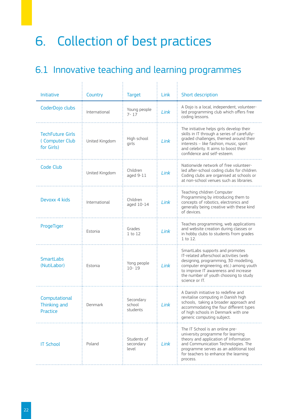# 6. Collection of best practices

÷.

# 6.1 Innovative teaching and learning programmes

| <b>Initiative</b>                                       | Country        | <b>Target</b>                     | Link | Short description                                                                                                                                                                                                                                                |
|---------------------------------------------------------|----------------|-----------------------------------|------|------------------------------------------------------------------------------------------------------------------------------------------------------------------------------------------------------------------------------------------------------------------|
| CoderDojo clubs                                         | International  | Young people<br>$7 - 17$          | Link | A Dojo is a local, independent, volunteer-<br>led programming club which offers free<br>coding lessons.                                                                                                                                                          |
| <b>TechFuture Girls</b><br>(Computer Club<br>for Girls) | United Kingdom | High school<br>girls              | Link | The initiative helps girls develop their<br>skills in IT through a series of carefully-<br>graded challenges, themed around their<br>interests - like fashion, music, sport<br>and celebrity. It aims to boost their<br>confidence and self-esteem.              |
| Code Club                                               | United Kingdom | Children<br>aged 9-11             | Link | Nationwide network of free volunteer-<br>led after-school coding clubs for children.<br>Coding clubs are organised at schools or<br>at non-school venues such as libraries.                                                                                      |
| Devoxx 4 kids                                           | International  | Children<br>aged 10-14            | Link | Teaching children Computer<br>Programming by introducing them to<br>concepts of robotics, electronics and<br>generally being creative with these kind<br>of devices.                                                                                             |
| ProgeTiger                                              | Estonia        | Grades<br>1 to 12                 | Link | Teaches programming, web applications<br>and website creation during classes or<br>in hobby clubs to students from grades<br>1 to 12.                                                                                                                            |
| <b>SmartLabs</b><br>(NutiLabor)                         | Estonia        | Yong people<br>$10 - 19$          | Link | SmartLabs supports and promotes<br>IT-related afterschool activities (web<br>designing, programming, 3D modelling,<br>computer engineering, etc.) among youth<br>to improve IT awareness and increase<br>the number of youth choosing to study<br>science or IT. |
| Computational<br>Thinking and<br>Practice               | Denmark        | Secondary<br>school<br>students   | Link | A Danish initiative to redefine and<br>revitalise computing in Danish high<br>schools, taking a broader approach and<br>accommodating the four different types<br>of high schools in Denmark with one<br>generic computing subject.                              |
| <b>IT School</b>                                        | Poland         | Students of<br>secondary<br>level | Link | The IT School is an online pre-<br>university programme for learning<br>theory and application of Information<br>and Communication Technologies. The<br>programme serves as an additional tool<br>for teachers to enhance the learning<br>process.               |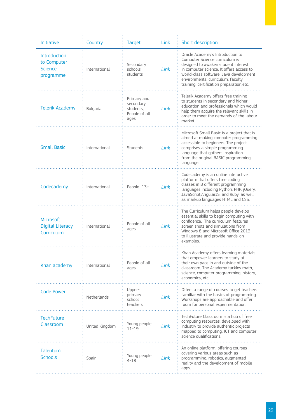| Initiative                                                        | Country         | <b>Target</b>                                                  | Link | Short description                                                                                                                                                                                                                                                                 |
|-------------------------------------------------------------------|-----------------|----------------------------------------------------------------|------|-----------------------------------------------------------------------------------------------------------------------------------------------------------------------------------------------------------------------------------------------------------------------------------|
| <b>Introduction</b><br>to Computer<br><b>Science</b><br>programme | International   | Secondary<br>schools<br>students                               | Link | Oracle Academy's Introduction to<br>Computer Science curriculum is<br>designed to awaken student interest<br>in computer science. It offers access to<br>world-class software, Java development<br>environments, curriculum, faculty<br>training, certification preparation, etc. |
| <b>Telerik Academy</b>                                            | <b>Bulgaria</b> | Primary and<br>secondary<br>students,<br>People of all<br>ages | Link | Telerik Academy offers free training<br>to students in secondary and higher<br>education and professionals which would<br>help them acquire the relevant skills in<br>order to meet the demands of the labour<br>market.                                                          |
| <b>Small Basic</b>                                                | International   | <b>Students</b>                                                | Link | Microsoft Small Basic is a project that is<br>aimed at making computer programming<br>accessible to beginners. The project<br>comprises a simple programming<br>language that gathers inspiration<br>from the original BASIC programming<br>language.                             |
| Codecademy                                                        | International   | People 13+                                                     | Link | Codecademy is an online interactive<br>platform that offers free coding<br>classes in 8 different programming<br>languages including Python, PHP, jQuery,<br>JavaScript, AngularJS, and Ruby, as well<br>as markup languages HTML and CSS.                                        |
| Microsoft<br><b>Digital Literacy</b><br>Curriculum                | International   | People of all<br>ages                                          | Link | The Curriculum helps people develop<br>essential skills to begin computing with<br>confidence. The curriculum features<br>screen shots and simulations from<br>Windows 8 and Microsoft Office 2013<br>to illustrate and provide hands-on<br>examples.                             |
| Khan academy                                                      | International   | People of all<br>ages                                          | Link | Khan Academy offers learning materials<br>that empower learners to study at<br>their own pace in and outside of the<br>classroom. The Academy tackles math,<br>science, computer programming, history,<br>economics, etc.                                                         |
| <b>Code Power</b>                                                 | Netherlands     | Upper-<br>primary<br>school<br>teachers                        | Link | Offers a range of courses to get teachers<br>familiar with the basics of programming.<br>Workshops are approachable and offer<br>room for personal experimentation.                                                                                                               |
| <b>TechFuture</b><br>Classroom                                    | United Kingdom  | Young people<br>$11 - 19$                                      | Link | TechFuture Classroom is a hub of free<br>computing resources, developed with<br>industry to provide authentic projects<br>mapped to computing, ICT and computer<br>science qualifications.                                                                                        |
| Talentum<br><b>Schools</b>                                        | Spain           | Young people<br>$4 - 18$                                       | Link | An online platform, offering courses<br>covering various areas such as<br>programming, robotics, augmented<br>reality and the development of mobile<br>apps.                                                                                                                      |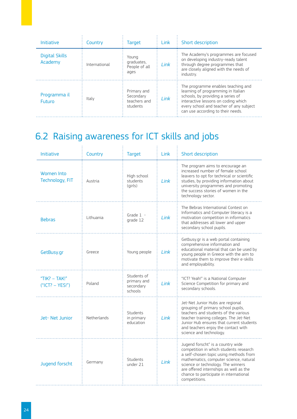| Initiative                       | Country       | Target                                               | Link | Short description                                                                                                                                                                                                                    |
|----------------------------------|---------------|------------------------------------------------------|------|--------------------------------------------------------------------------------------------------------------------------------------------------------------------------------------------------------------------------------------|
| <b>Digital Skills</b><br>Academy | International | Young<br>graduates,<br>People of all<br>ages         | Link | The Academy's programmes are focused<br>on developing industry-ready talent<br>through degree programmes that<br>are closely aligned with the needs of<br>industry.                                                                  |
| Programma il<br><b>Futuro</b>    | Italy         | Primary and<br>Secondary<br>teachers and<br>students | Link | The programme enables teaching and<br>learning of programming in Italian<br>schools, by providing a series of<br>interactive lessons on coding which<br>every school and teacher of any subject<br>can use according to their needs. |

# 6.2 Raising awareness for ICT skills and jobs

| <b>Initiative</b>                   | Country     | <b>Target</b>                                      | 1 ink | Short description                                                                                                                                                                                                                                                                                          |
|-------------------------------------|-------------|----------------------------------------------------|-------|------------------------------------------------------------------------------------------------------------------------------------------------------------------------------------------------------------------------------------------------------------------------------------------------------------|
| Women Into<br>Technology, FIT       | Austria     | High school<br>students<br>(girls)                 | Link  | The program aims to encourage an<br>increased number of female school<br>leavers to opt for technical or scientific<br>studies, by providing information about<br>university programmes and promoting<br>the success stories of women in the<br>technology sector.                                         |
| <b>Bebras</b>                       | Lithuania   | Grade $1 -$<br>grade 12                            | I ink | The Bebras International Contest on<br>Informatics and Computer literacy is a<br>motivation competition in informatics<br>that addresses all lower and upper<br>secondary school pupils.                                                                                                                   |
| GetBusy.gr                          | Greece      | Young people                                       | Link  | Getbusy.gr is a web portal containing<br>comprehensive information and<br>educational material that can be used by<br>young people in Greece with the aim to<br>motivate them to improve their e-skills<br>and employability.                                                                              |
| "TIK? $-$ TAK!"<br>$("ICT? - YES!)$ | Poland      | Students of<br>primary and<br>secondary<br>schools | Link  | "ICT? Yeah!" is a National Computer<br>Science Competition for primary and<br>secondary schools.                                                                                                                                                                                                           |
| Jet-Net Junior                      | Netherlands | Students<br>in primary<br>education                | Link  | Jet-Net Junior Hubs are regional<br>grouping of primary school pupils,<br>teachers and students of the various<br>teacher training colleges. The Jet-Net<br>Junior Hub ensures that current students<br>and teachers enjoy the contact with<br>science and technology.                                     |
| Jugend forscht                      | Germany     | Students<br>under 21                               | Link  | Jugend forscht" is a country wide<br>competition in which students research<br>a self-chosen topic using methods from<br>mathematics, computer science, natural<br>science or technology. The winners<br>are offered internships as well as the<br>chance to participate in international<br>competitions. |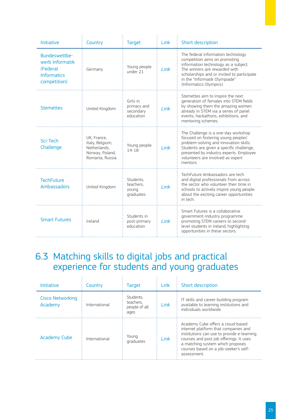| <b>Initiative</b>                                                                  | Country                                                                              | <b>Target</b>                                     | Link | Short description                                                                                                                                                                                                                                            |
|------------------------------------------------------------------------------------|--------------------------------------------------------------------------------------|---------------------------------------------------|------|--------------------------------------------------------------------------------------------------------------------------------------------------------------------------------------------------------------------------------------------------------------|
| Bundeswettbe-<br>werb Informatik<br>(Federal<br><b>Informatics</b><br>competition) | Germany                                                                              | Young people<br>under 21                          | Link | The federal information technology<br>competition aims on promoting<br>information technology as a subject.<br>The winners are rewarded with<br>scholarships and or invited to participate<br>in the "Informatik Olympiade"<br>(Informatics Olympics).       |
| <b>Stemettes</b>                                                                   | United Kingdom                                                                       | Girls in<br>primary and<br>secondary<br>education | Link | Stemettes aim to inspire the next<br>generation of females into STEM fields<br>by showing them the amazing women<br>already in STEM via a series of panel<br>events, hackathons, exhibitions, and<br>mentoring schemes.                                      |
| Sci-Tech<br>Challenge                                                              | UK, France,<br>Italy, Belgium,<br>Netherlands,<br>Norway, Poland,<br>Romania, Russia | Young people<br>$14 - 18$                         | Link | The Challenge is a one-day workshop<br>focused on fostering young peoples'<br>problem-solving and innovation skills.<br>Students are given a specific challenge,<br>presented by industry experts. Employee<br>volunteers are involved as expert<br>mentors. |
| <b>TechFuture</b><br><b>Ambassadors</b>                                            | United Kingdom                                                                       | Students,<br>teachers.<br>young<br>graduates      | link | TechFuture Ambassadors are tech<br>and digital professionals from across<br>the sector who volunteer their time in<br>schools to actively inspire young people<br>about the exciting career opportunities<br>in tech.                                        |
| <b>Smart Futures</b>                                                               | Ireland                                                                              | Students in<br>post-primary<br>education          | Link | Smart Futures is a collaborative<br>government-industry programme<br>promoting STEM careers to second-<br>level students in Ireland, highlighting<br>opportunities in these sectors.                                                                         |

## 6.3 Matching skills to digital jobs and practical experience for students and young graduates

| <b>Initiative</b>                  | Country       | <b>Target</b>                                   | Link | Short description                                                                                                                                                                                                                                              |
|------------------------------------|---------------|-------------------------------------------------|------|----------------------------------------------------------------------------------------------------------------------------------------------------------------------------------------------------------------------------------------------------------------|
| <b>Cisco Networking</b><br>Academy | International | Students.<br>teachers.<br>people of all<br>ages | Link | IT skills and career building program<br>available to learning institutions and<br>individuals worldwide.                                                                                                                                                      |
| <b>Academy Cube</b>                | International | Young<br>graduates                              | Link | Academy Cube offers a cloud-based<br>internet platform that companies and<br>institutions can use to provide e-learning<br>courses and post job offerings. It uses<br>a matching system which proposes<br>courses based on a job-seeker's self-<br>assessment. |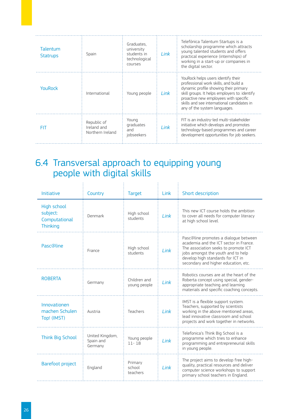| Talentum<br><b>Statrups</b> | Spain                                          | Graduates.<br>university<br>students in<br>technological<br>COLICSAS | I ink | Telefónica Talentum Startups is a<br>scholarship programme which attracts<br>young talented students and offers<br>practical experience (internships) of<br>working in a start-up or companies in<br>the digital sector.                                                                     |
|-----------------------------|------------------------------------------------|----------------------------------------------------------------------|-------|----------------------------------------------------------------------------------------------------------------------------------------------------------------------------------------------------------------------------------------------------------------------------------------------|
| YouRock                     | International                                  | Young people                                                         | Link  | YouRock helps users identify their<br>professional work skills, and build a<br>dynamic profile showing their primary<br>skill groups. It helps employers to: identify<br>proactive new employees with specific<br>skills and see international candidates in<br>any of the system languages. |
| FIT                         | Republic of<br>Ireland and<br>Northern Ireland | Young<br>graduates<br>and<br>iobseekers                              | Link  | FIT is an industry-led multi-stakeholder<br>initiative which develops and promotes<br>technology-based programmes and career<br>development opportunities for job seekers.                                                                                                                   |

## 6.4 Transversal approach to equipping young people with digital skills

| <b>Initiative</b>                                           | Country                                 | <b>Target</b>                 | Link | Short description                                                                                                                                                                                                                          |
|-------------------------------------------------------------|-----------------------------------------|-------------------------------|------|--------------------------------------------------------------------------------------------------------------------------------------------------------------------------------------------------------------------------------------------|
| High school<br>subject:<br>Computational<br><b>Thinking</b> | Denmark                                 | High school<br>students       | Link | This new ICT course holds the ambition<br>to cover all needs for computer literacy<br>at high school level.                                                                                                                                |
| <b>Pasc</b> @line                                           | France                                  | High school<br>students       | Link | Pasc@line promotes a dialogue between<br>academia and the ICT sector in France.<br>The association seeks to promote ICT<br>jobs amongst the youth and to help<br>develop high standards for ICT in<br>secondary and higher education, etc. |
| <b>ROBERTA</b>                                              | Germany                                 | Children and<br>young people  | Link | Robotics courses are at the heart of the<br>Roberta concept using special, gender-<br>appropriate teaching and learning<br>materials and specific coaching concepts.                                                                       |
| Innovationen<br>machen Schulen<br>Top! (IMST)               | Austria                                 | Teachers                      | link | IMST is a flexible support system.<br>Teachers, supported by scientists<br>working in the above mentioned areas,<br>lead innovative classroom and school<br>projects and work together in networks.                                        |
| Think Big School                                            | United Kingdom,<br>Spain and<br>Germany | Young people<br>$11 - 18$     | link | Telefonica's Think Big School is a<br>programme which tries to enhance<br>programming and entrepreneurial skills<br>in young people.                                                                                                       |
| <b>Barefoot project</b>                                     | England                                 | Primary<br>school<br>teachers | link | The project aims to develop free high-<br>quality, practical resources and deliver<br>computer science workshops to support<br>primary school teachers in England.                                                                         |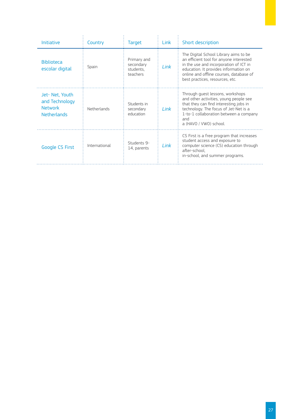| <b>Initiative</b>                                                        | Country       | <b>Target</b>                                     | Link | Short description                                                                                                                                                                                                                                 |
|--------------------------------------------------------------------------|---------------|---------------------------------------------------|------|---------------------------------------------------------------------------------------------------------------------------------------------------------------------------------------------------------------------------------------------------|
| <b>Biblioteca</b><br>escolar digital                                     | Spain         | Primary and<br>secondary<br>students.<br>teachers | Link | The Digital School Library aims to be<br>an efficient tool for anyone interested<br>in the use and incorporation of ICT in<br>education. It provides information on<br>online and offline courses, database of<br>best practices, resources, etc. |
| Jet-Net, Youth<br>and Technology<br><b>Network</b><br><b>Netherlands</b> | Netherlands   | Students in<br>secondary<br>education             | Link | Through quest lessons, workshops<br>and other activities, young people see<br>that they can find interesting jobs in<br>technology. The focus of Jet-Net is a<br>1-to-1 collaboration between a company<br>and<br>a (HAVO / VWO) school.          |
| <b>Google CS First</b>                                                   | International | Students 9-<br>14, parents                        | Link | CS First is a free program that increases<br>student access and exposure to<br>computer science (CS) education through<br>after-school.<br>in-school, and summer programs.                                                                        |